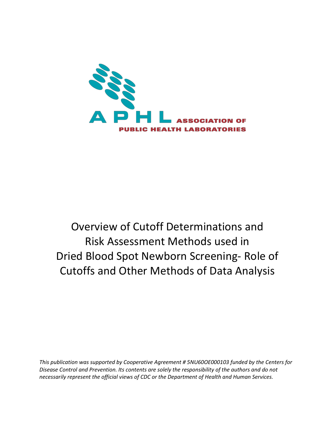

# <span id="page-0-0"></span>Overview of Cutoff Determinations and Risk Assessment Methods used in Dried Blood Spot Newborn Screening- Role of Cutoffs and Other Methods of Data Analysis

*This publication was supported by Cooperative Agreement # 5NU60OE000103 funded by the Centers for Disease Control and Prevention. Its contents are solely the responsibility of the authors and do not necessarily represent the official views of CDC or the Department of Health and Human Services.*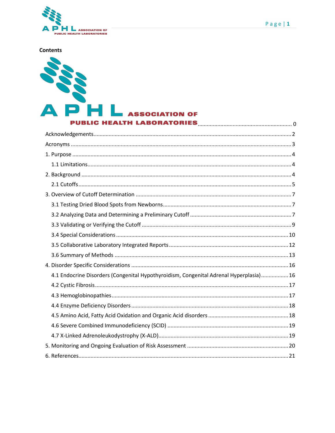

**Contents** 



## **SSOCIATION OF**

PUBLIC HEALTH LABORATORIES MARIE AND THE RESERVE OF THE RESERVE OF THE RESERVE OF THE RESERVE OF THE RESERVE O

| 4.1 Endocrine Disorders (Congenital Hypothyroidism, Congenital Adrenal Hyperplasia) 16 |
|----------------------------------------------------------------------------------------|
|                                                                                        |
|                                                                                        |
|                                                                                        |
|                                                                                        |
|                                                                                        |
|                                                                                        |
|                                                                                        |
|                                                                                        |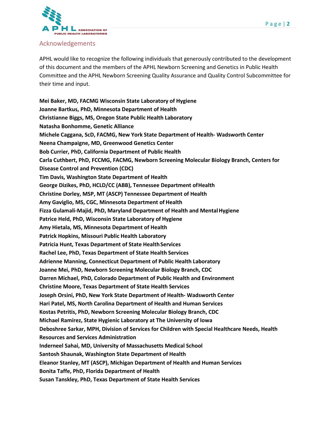

#### <span id="page-2-0"></span>Acknowledgements

APHL would like to recognize the following individuals that generously contributed to the development of this document and the members of the APHL Newborn Screening and Genetics in Public Health Committee and the APHL Newborn Screening Quality Assurance and Quality Control Subcommittee for their time and input.

**Mei Baker, MD, FACMG Wisconsin State Laboratory of Hygiene Joanne Bartkus, PhD, Minnesota Department of Health Christianne Biggs, MS, Oregon State Public Health Laboratory Natasha Bonhomme, Genetic Alliance Michele Caggana, ScD, FACMG, New York State Department of Health- Wadsworth Center Neena Champaigne, MD, Greenwood Genetics Center Bob Currier, PhD, California Department of Public Health Carla Cuthbert, PhD, FCCMG, FACMG, Newborn Screening Molecular Biology Branch, Centers for Disease Control and Prevention (CDC) Tim Davis, Washington State Department of Health George Dizikes, PhD, HCLD/CC (ABB), Tennessee Department ofHealth Christine Dorley, MSP, MT (ASCP) Tennessee Department of Health Amy Gaviglio, MS, CGC, Minnesota Department of Health Fizza Gulamali-Majid, PhD, Maryland Department of Health and MentalHygiene Patrice Held, PhD, Wisconsin State Laboratory of Hygiene Amy Hietala, MS, Minnesota Department of Health Patrick Hopkins, Missouri Public Health Laboratory**  Patricia Hunt, Texas Department of State Health Services **Rachel Lee, PhD, Texas Department of State Health Services Adrienne Manning, Connecticut Department of Public Health Laboratory Joanne Mei, PhD, Newborn Screening Molecular Biology Branch, CDC Darren Michael, PhD, Colorado Department of Public Health and Environment Christine Moore, Texas Department of State Health Services Joseph Orsini, PhD, New York State Department of Health- Wadsworth Center Hari Patel, MS, North Carolina Department of Health and Human Services Kostas Petritis, PhD, Newborn Screening Molecular Biology Branch, CDC Michael Ramirez, State Hygienic Laboratory at The University of Iowa Deboshree Sarkar, MPH, Division of Services for Children with Special Healthcare Needs, Health Resources and Services Administration Inderneel Sahai, MD, University of Massachusetts Medical School Santosh Shaunak, Washington State Department of Health Eleanor Stanley, MT (ASCP), Michigan Department of Health and Human Services Bonita Taffe, PhD, Florida Department of Health Susan Tanskley, PhD, Texas Department of State Health Services**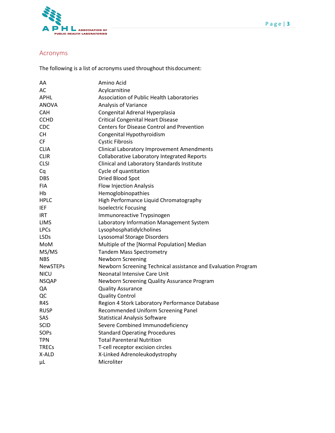

## <span id="page-3-0"></span>Acronyms

The following is a list of acronyms used throughout thisdocument:

| AA              | Amino Acid                                                    |
|-----------------|---------------------------------------------------------------|
| AC              | Acylcarnitine                                                 |
| <b>APHL</b>     | <b>Association of Public Health Laboratories</b>              |
| <b>ANOVA</b>    | Analysis of Variance                                          |
| <b>CAH</b>      | Congenital Adrenal Hyperplasia                                |
| <b>CCHD</b>     | <b>Critical Congenital Heart Disease</b>                      |
| CDC             | <b>Centers for Disease Control and Prevention</b>             |
| CН              | Congenital Hypothyroidism                                     |
| <b>CF</b>       | <b>Cystic Fibrosis</b>                                        |
| <b>CLIA</b>     | <b>Clinical Laboratory Improvement Amendments</b>             |
| <b>CLIR</b>     | <b>Collaborative Laboratory Integrated Reports</b>            |
| <b>CLSI</b>     | Clinical and Laboratory Standards Institute                   |
| Cq              | Cycle of quantitation                                         |
| <b>DBS</b>      | Dried Blood Spot                                              |
| <b>FIA</b>      | <b>Flow Injection Analysis</b>                                |
| Hb              | Hemoglobinopathies                                            |
| HPLC            | High Performance Liquid Chromatography                        |
| IEF             | <b>Isoelectric Focusing</b>                                   |
| <b>IRT</b>      | Immunoreactive Trypsinogen                                    |
| <b>LIMS</b>     | Laboratory Information Management System                      |
| <b>LPCs</b>     | Lysophosphatidylcholines                                      |
| <b>LSDs</b>     | Lysosomal Storage Disorders                                   |
| MoM             | Multiple of the [Normal Population] Median                    |
| MS/MS           | <b>Tandem Mass Spectrometry</b>                               |
| <b>NBS</b>      | <b>Newborn Screening</b>                                      |
| <b>NewSTEPs</b> | Newborn Screening Technical assistance and Evaluation Program |
| <b>NICU</b>     | Neonatal Intensive Care Unit                                  |
| <b>NSQAP</b>    | Newborn Screening Quality Assurance Program                   |
| QA              | <b>Quality Assurance</b>                                      |
| QC              | <b>Quality Control</b>                                        |
| R4S             | Region 4 Stork Laboratory Performance Database                |
| <b>RUSP</b>     | Recommended Uniform Screening Panel                           |
| SAS             | <b>Statistical Analysis Software</b>                          |
| <b>SCID</b>     | Severe Combined Immunodeficiency                              |
| SOPs            | <b>Standard Operating Procedures</b>                          |
| <b>TPN</b>      | <b>Total Parenteral Nutrition</b>                             |
| <b>TRECs</b>    | T-cell receptor excision circles                              |
| X-ALD           | X-Linked Adrenoleukodystrophy                                 |
| μL              | Microliter                                                    |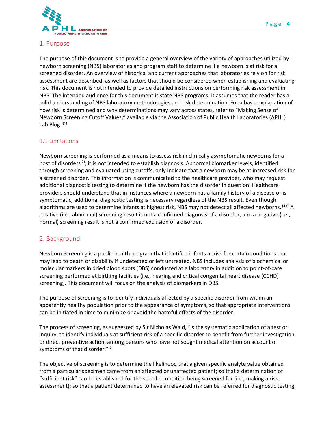

#### <span id="page-4-0"></span>1. Purpose

The purpose of this document is to provide a general overview of the variety of approaches utilized by newborn screening (NBS) laboratories and program staff to determine if a newborn is at risk for a screened disorder. An overview of historical and current approaches that laboratories rely on for risk assessment are described, as well as factors that should be considered when establishing and evaluating risk. This document is not intended to provide detailed instructions on performing risk assessment in NBS. The intended audience for this document is state NBS programs; it assumes that the reader has a solid understanding of NBS laboratory methodologies and risk determination. For a basic explanation of how risk is determined and why determinations may vary across states, refer to "Making Sense of Newborn Screening Cutoff Values," available via the Association of Public Health Laboratories (APHL) Lab Blog.  $(1)$ 

#### <span id="page-4-1"></span>1.1 Limitations

Newborn screening is performed as a means to assess risk in clinically asymptomatic newborns for a host of disorders<sup>(2)</sup>; it is not intended to establish diagnosis. Abnormal biomarker levels, identified through screening and evaluated using cutoffs, only indicate that a newborn may be at increased risk for a screened disorder. This information is communicated to the healthcare provider, who may request additional diagnostic testing to determine if the newborn has the disorder in question. Healthcare providers should understand that in instances where a newborn has a family history of a disease or is symptomatic, additional diagnostic testing is necessary regardless of the NBS result. Even though algorithms are used to determine infants at highest risk, NBS may not detect all affected newborns. <sup>(3-6)</sup> A positive (i.e., abnormal) screening result is not a confirmed diagnosis of a disorder, and a negative (i.e., normal) screening result is not a confirmed exclusion of a disorder.

#### <span id="page-4-2"></span>2. Background

Newborn Screening is a public health program that identifies infants at risk for certain conditions that may lead to death or disability if undetected or left untreated. NBS includes analysis of biochemical or molecular markers in dried blood spots (DBS) conducted at a laboratory in addition to point-of-care screening performed at birthing facilities (i.e., hearing and critical congenital heart disease (CCHD) screening). This document will focus on the analysis of biomarkers in DBS.

The purpose of screening is to identify individuals affected by a specific disorder from within an apparently healthy population prior to the appearance of symptoms, so that appropriate interventions can be initiated in time to minimize or avoid the harmful effects of the disorder.

The process of screening, as suggested by Sir Nicholas Wald, "is the systematic application of a test or inquiry, to identify individuals at sufficient risk of a specific disorder to benefit from further investigation or direct preventive action, among persons who have not sought medical attention on account of symptoms of that disorder." $(7)$ 

The objective of screening is to determine the likelihood that a given specific analyte value obtained from a particular specimen came from an affected or unaffected patient; so that a determination of "sufficient risk" can be established for the specific condition being screened for (i.e., making a risk assessment); so that a patient determined to have an elevated risk can be referred for diagnostic testing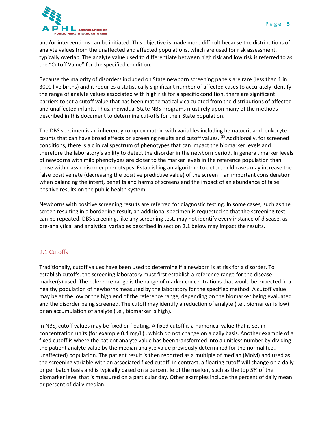

and/or interventions can be initiated. This objective is made more difficult because the distributions of analyte values from the unaffected and affected populations, which are used for risk assessment, typically overlap. The analyte value used to differentiate between high risk and low risk is referred to as the "Cutoff Value" for the specified condition.

Because the majority of disorders included on State newborn screening panels are rare (less than 1 in 3000 live births) and it requires a statistically significant number of affected cases to accurately identify the range of analyte values associated with high risk for a specific condition, there are significant barriers to set a cutoff value that has been mathematically calculated from the distributions of affected and unaffected infants. Thus, individual State NBS Programs must rely upon many of the methods described in this document to determine cut-offs for their State population.

The DBS specimen is an inherently complex matrix, with variables including hematocrit and leukocyte counts that can have broad effects on screening results and cutoff values. <sup>(8)</sup> Additionally, for screened conditions, there is a clinical spectrum of phenotypes that can impact the biomarker levels and therefore the laboratory's ability to detect the disorder in the newborn period. In general, marker levels of newborns with mild phenotypes are closer to the marker levels in the reference population than those with classic disorder phenotypes. Establishing an algorithm to detect mild cases may increase the false positive rate (decreasing the positive predictive value) of the screen – an important consideration when balancing the intent, benefits and harms of screens and the impact of an abundance of false positive results on the public health system.

Newborns with positive screening results are referred for diagnostic testing. In some cases, such as the screen resulting in a borderline result, an additional specimen is requested so that the screening test can be repeated. DBS screening, like any screening test, may not identify every instance of disease, as pre-analytical and analytical variables described in section 2.1 below may impact the results.

#### <span id="page-5-0"></span>2.1 Cutoffs

Traditionally, cutoff values have been used to determine if a newborn is at risk for a disorder. To establish cutoffs, the screening laboratory must first establish a reference range for the disease marker(s) used. The reference range is the range of marker concentrations that would be expected in a healthy population of newborns measured by the laboratory for the specified method. A cutoff value may be at the low or the high end of the reference range, depending on the biomarker being evaluated and the disorder being screened. The cutoff may identify a reduction of analyte (i.e., biomarker is low) or an accumulation of analyte (i.e., biomarker is high).

In NBS, cutoff values may be fixed or floating. A fixed cutoff is a numerical value that is set in concentration units (for example 0.4 mg/L) , which do not change on a daily basis. Another example of a fixed cutoff is where the patient analyte value has been transformed into a unitless number by dividing the patient analyte value by the median analyte value previously determined for the normal (i.e., unaffected) population. The patient result is then reported as a multiple of median (MoM) and used as the screening variable with an associated fixed cutoff. In contrast, a floating cutoff will change on a daily or per batch basis and is typically based on a percentile of the marker, such as the top 5% of the biomarker level that is measured on a particular day. Other examples include the percent of daily mean or percent of daily median.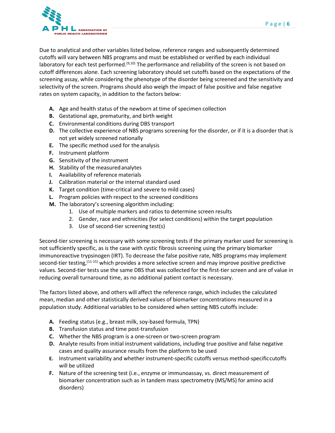

Due to analytical and other variables listed below, reference ranges and subsequently determined cutoffs will vary between NBS programs and must be established or verified by each individual laboratory for each test performed.<sup>(9,10)</sup> The performance and reliability of the screen is not based on cutoff differences alone. Each screening laboratory should set cutoffs based on the expectations of the screening assay, while considering the phenotype of the disorder being screened and the sensitivity and selectivity of the screen. Programs should also weigh the impact of false positive and false negative rates on system capacity, in addition to the factors below:

- **A.** Age and health status of the newborn at time of specimen collection
- **B.** Gestational age, prematurity, and birth weight
- **C.** Environmental conditions during DBS transport
- **D.** The collective experience of NBS programs screening for the disorder, or if it is a disorder that is not yet widely screened nationally
- **E.** The specific method used for the analysis
- **F.** Instrument platform
- **G.** Sensitivity of the instrument
- **H.** Stability of the measuredanalytes
- **I.** Availability of reference materials
- **J.** Calibration material or the internal standard used
- **K.** Target condition (time-critical and severe to mild cases)
- **L.** Program policies with respect to the screened conditions
- **M.** The laboratory's screening algorithm including:
	- 1. Use of multiple markers and ratios to determine screen results
	- 2. Gender, race and ethnicities (for select conditions) within the target population
	- 3. Use of second-tier screening test(s)

Second-tier screening is necessary with some screening tests if the primary marker used for screening is not sufficiently specific, as is the case with cystic fibrosis screening using the primary biomarker immunoreactive trypsinogen (IRT). To decrease the false positive rate, NBS programs may implement second-tier testing, <sup>(11-15)</sup> which provides a more selective screen and may improve positive predictive values. Second-tier tests use the same DBS that was collected for the first-tier screen and are of value in reducing overall turnaround time, as no additional patient contact is necessary.

The factors listed above, and others will affect the reference range, which includes the calculated mean, median and other statistically derived values of biomarker concentrations measured in a population study. Additional variables to be considered when setting NBS cutoffs include:

- **A.** Feeding status (e.g., breast milk, soy-based formula, TPN)
- **B.** Transfusion status and time post-transfusion
- **C.** Whether the NBS program is a one-screen or two-screen program
- **D.** Analyte results from initial instrument validations, including true positive and false negative cases and quality assurance results from the platform to be used
- **E.** Instrument variability and whether instrument-specific cutoffs versus method-specificcutoffs will be utilized
- **F.** Nature of the screening test (i.e., enzyme or immunoassay, vs. direct measurement of biomarker concentration such as in tandem mass spectrometry (MS/MS) for amino acid disorders)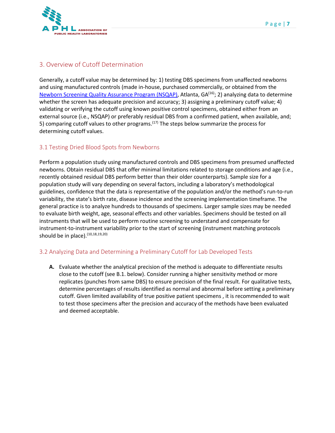

## <span id="page-7-0"></span>3. Overview of Cutoff Determination

Generally, a cutoff value may be determined by: 1) testing DBS specimens from unaffected newborns and using manufactured controls (made in-house, purchased commercially, or obtained from the [Newborn Screening Quality Assurance Program \(](https://www.cdc.gov/labstandards/nsqap.html)NSQAP), Atlanta, GA<sup>(16)</sup>; 2) analyzing data to determine whether the screen has adequate precision and accuracy; 3) assigning a preliminary cutoff value; 4) validating or verifying the cutoff using known positive control specimens, obtained either from an external source (i.e., NSQAP) or preferably residual DBS from a confirmed patient, when available, and; 5) comparing cutoff values to other programs.<sup>(17)</sup> The steps below summarize the process for determining cutoff values.

#### <span id="page-7-1"></span>3.1 Testing Dried Blood Spots from Newborns

Perform a population study using manufactured controls and DBS specimens from presumed unaffected newborns. Obtain residual DBS that offer minimal limitations related to storage conditions and age (i.e., recently obtained residual DBS perform better than their older counterparts). Sample size for a population study will vary depending on several factors, including a laboratory's methodological guidelines, confidence that the data is representative of the population and/or the method's run-to-run variability, the state's birth rate, disease incidence and the screening implementation timeframe. The general practice is to analyze hundreds to thousands of specimens. Larger sample sizes may be needed to evaluate birth weight, age, seasonal effects and other variables. Specimens should be tested on all instruments that will be used to perform routine screening to understand and compensate for instrument-to-instrument variability prior to the start of screening (instrument matching protocols should be in place).  $(10,18,19,20)$ 

#### <span id="page-7-2"></span>3.2 Analyzing Data and Determining a Preliminary Cutoff for Lab Developed Tests

**A.** Evaluate whether the analytical precision of the method is adequate to differentiate results close to the cutoff (see B.1. below). Consider running a higher sensitivity method or more replicates (punches from same DBS) to ensure precision of the final result. For qualitative tests, determine percentages of results identified as normal and abnormal before setting a preliminary cutoff. Given limited availability of true positive patient specimens , it is recommended to wait to test those specimens after the precision and accuracy of the methods have been evaluated and deemed acceptable.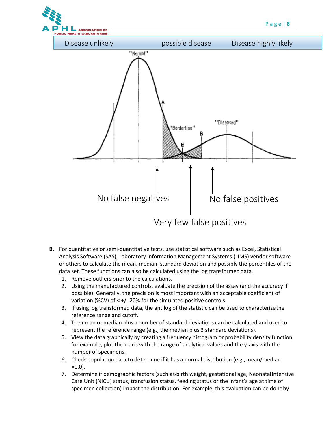

- **B.** For quantitative or semi-quantitative tests, use statistical software such as Excel, Statistical Analysis Software (SAS), Laboratory Information Management Systems (LIMS) vendor software or others to calculate the mean, median, standard deviation and possibly the percentiles of the data set. These functions can also be calculated using the log transformed data.
	- 1. Remove outliers prior to the calculations.
	- 2. Using the manufactured controls, evaluate the precision of the assay (and the accuracy if possible). Generally, the precision is most important with an acceptable coefficient of variation (%CV) of < +/- 20% for the simulated positive controls.
	- 3. If using log transformed data, the antilog of the statistic can be used to characterizethe reference range and cutoff.
	- 4. The mean or median plus a number of standard deviations can be calculated and used to represent the reference range (e.g., the median plus 3 standard deviations).
	- 5. View the data graphically by creating a frequency histogram or probability density function; for example, plot the x-axis with the range of analytical values and the y-axis with the number of specimens.
	- 6. Check population data to determine if it has a normal distribution (e.g., mean/median  $=1.0$ ).
	- 7. Determine if demographic factors (such as birth weight, gestational age, NeonatalIntensive Care Unit (NICU) status, transfusion status, feeding status or the infant's age at time of specimen collection) impact the distribution. For example, this evaluation can be doneby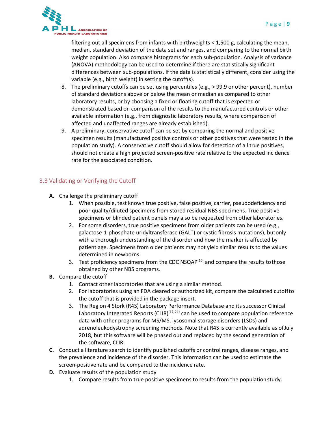

filtering out all specimens from infants with birthweights < 1,500 g, calculating the mean, median, standard deviation of the data set and ranges, and comparing to the normal birth weight population. Also compare histograms for each sub-population. Analysis of variance (ANOVA) methodology can be used to determine if there are statistically significant differences between sub-populations. If the data is statistically different, consider using the variable (e.g., birth weight) in setting the cutoff(s).

- 8. The preliminary cutoffs can be set using percentiles (e.g., > 99.9 or other percent), number of standard deviations above or below the mean or median as compared to other laboratory results, or by choosing a fixed or floating cutoff that is expected or demonstrated based on comparison of the results to the manufactured controls or other available information (e.g., from diagnostic laboratory results, where comparison of affected and unaffected ranges are already established).
- 9. A preliminary, conservative cutoff can be set by comparing the normal and positive specimen results (manufactured positive controls or other positives that were tested in the population study). A conservative cutoff should allow for detection of all true positives, should not create a high projected screen-positive rate relative to the expected incidence rate for the associated condition.

#### <span id="page-9-0"></span>3.3 Validating or Verifying the Cutoff

- **A.** Challenge the preliminary cutoff
	- 1. When possible, test known true positive, false positive, carrier, pseudodeficiency and poor quality/diluted specimens from stored residual NBS specimens. True positive specimens or blinded patient panels may also be requested from otherlaboratories.
	- 2. For some disorders, true positive specimens from older patients can be used (e.g., galactose-1-phosphate uridyltransferase (GALT) or cystic fibrosis mutations), butonly with a thorough understanding of the disorder and how the marker is affected by patient age. Specimens from older patients may not yield similar results to the values determined in newborns.
	- 3. Test proficiency specimens from the CDC NSQA $P^{(16)}$  and compare the results to those obtained by other NBS programs.
- **B.** Compare the cutoff
	- 1. Contact other laboratories that are using a similar method.
	- 2. For laboratories using an FDA cleared or authorized kit, compare the calculated cutoffto the cutoff that is provided in the package insert.
	- 3. The Region 4 Stork (R4S) Laboratory Performance Database and its successor Clinical Laboratory Integrated Reports (CLIR)<sup>(17,21)</sup> can be used to compare population reference data with other programs for MS/MS, lysosomal storage disorders (LSDs) and adrenoleukodystrophy screening methods. Note that R4S is currently available as ofJuly 2018, but this software will be phased out and replaced by the second generation of the software, CLIR.
- **C.** Conduct a literature search to identify published cutoffs or control ranges, disease ranges, and the prevalence and incidence of the disorder. This information can be used to estimate the screen-positive rate and be compared to the incidence rate.
- **D.** Evaluate results of the population study
	- 1. Compare results from true positive specimens to results from the populationstudy.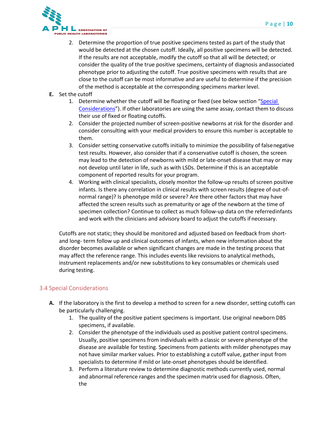

- 2. Determine the proportion of true positive specimens tested as part of the study that would be detected at the chosen cutoff. Ideally, all positive specimens will be detected. If the results are not acceptable, modify the cutoff so that all will be detected; or consider the quality of the true positive specimens, certainty of diagnosis andassociated phenotype prior to adjusting the cutoff. True positive specimens with results that are close to the cutoff can be most informative and are useful to determine if the precision of the method is acceptable at the corresponding specimens marker level.
- **E.** Set the cutoff
	- 1. Determine whether the cutoff will be floating or fixed (see below section ["Special](#page-10-0) [Considerations"](#page-10-0)). If other laboratories are using the same assay, contact them to discuss their use of fixed or floating cutoffs.
	- 2. Consider the projected number of screen-positive newborns at risk for the disorder and consider consulting with your medical providers to ensure this number is acceptable to them.
	- 3. Consider setting conservative cutoffs initially to minimize the possibility of falsenegative test results. However, also consider that if a conservative cutoff is chosen, the screen may lead to the detection of newborns with mild or late-onset disease that may or may not develop until later in life, such as with LSDs. Determine if this is an acceptable component of reported results for your program.
	- 4. Working with clinical specialists, closely monitor the follow-up results of screen positive infants. Is there any correlation in clinical results with screen results (degree of out-ofnormal range)? Is phenotype mild or severe? Are there other factors that may have affected the screen results such as prematurity or age of the newborn at the time of specimen collection? Continue to collect as much follow-up data on the referredinfants and work with the clinicians and advisory board to adjust the cutoffs if necessary.

Cutoffs are not static; they should be monitored and adjusted based on feedback from shortand long- term follow up and clinical outcomes of infants, when new information about the disorder becomes available or when significant changes are made in the testing process that may affect the reference range. This includes events like revisions to analytical methods, instrument replacements and/or new substitutions to key consumables or chemicals used during testing.

#### <span id="page-10-0"></span>3.4 Special Considerations

- **A.** If the laboratory is the first to develop a method to screen for a new disorder, setting cutoffs can be particularly challenging.
	- 1. The quality of the positive patient specimens is important. Use original newborn DBS specimens, if available.
	- 2. Consider the phenotype of the individuals used as positive patient control specimens. Usually, positive specimens from individuals with a classic or severe phenotype of the disease are available for testing. Specimens from patients with milder phenotypes may not have similar marker values. Prior to establishing a cutoff value, gather input from specialists to determine if mild or late-onset phenotypes should be identified.
	- 3. Perform a literature review to determine diagnostic methods currently used, normal and abnormal reference ranges and the specimen matrix used for diagnosis. Often, the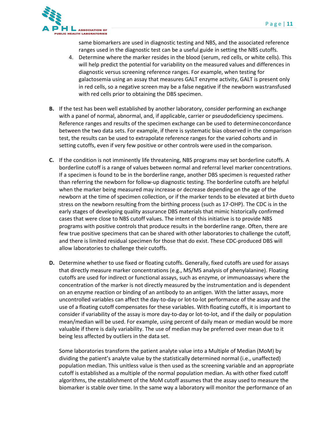

same biomarkers are used in diagnostic testing and NBS, and the associated reference ranges used in the diagnostic test can be a useful guide in setting the NBS cutoffs.

- 4. Determine where the marker resides in the blood (serum, red cells, or white cells). This will help predict the potential for variability on the measured values and differences in diagnostic versus screening reference ranges. For example, when testing for galactosemia using an assay that measures GALT enzyme activity, GALT is present only in red cells, so a negative screen may be a false negative if the newborn wastransfused with red cells prior to obtaining the DBS specimen.
- **B.** If the test has been well established by another laboratory, consider performing an exchange with a panel of normal, abnormal, and, if applicable, carrier or pseudodeficiency specimens. Reference ranges and results of the specimen exchange can be used to determineconcordance between the two data sets. For example, if there is systematic bias observed in the comparison test, the results can be used to extrapolate reference ranges for the varied cohorts and in setting cutoffs, even if very few positive or other controls were used in the comparison.
- **C.** If the condition is not imminently life threatening, NBS programs may set borderline cutoffs. A borderline cutoff is a range of values between normal and referral level marker concentrations. If a specimen is found to be in the borderline range, another DBS specimen is requested rather than referring the newborn for follow-up diagnostic testing. The borderline cutoffs are helpful when the marker being measured may increase or decrease depending on the age of the newborn at the time of specimen collection, or if the marker tends to be elevated at birth dueto stress on the newborn resulting from the birthing process (such as 17-OHP). The CDC is in the early stages of developing quality assurance DBS materials that mimic historically confirmed cases that were close to NBS cutoff values. The intent of this initiative is to provide NBS programs with positive controls that produce results in the borderline range. Often, there are few true positive specimens that can be shared with other laboratories to challenge the cutoff, and there is limited residual specimen for those that do exist. These CDC-produced DBS will allow laboratories to challenge their cutoffs.
- **D.** Determine whether to use fixed or floating cutoffs. Generally, fixed cutoffs are used for assays that directly measure marker concentrations (e.g., MS/MS analysis of phenylalanine). Floating cutoffs are used for indirect or functional assays, such as enzyme, or immunoassays where the concentration of the marker is not directly measured by the instrumentation and is dependent on an enzyme reaction or binding of an antibody to an antigen. With the latter assays, more uncontrolled variables can affect the day-to-day or lot-to-lot performance of the assay and the use of a floating cutoff compensates for these variables. With floating cutoffs, it is important to consider if variability of the assay is more day-to-day or lot-to-lot, and if the daily or population mean/median will be used. For example, using percent of daily mean or median would be more valuable if there is daily variability. The use of median may be preferred over mean due to it being less affected by outliers in the data set.

Some laboratories transform the patient analyte value into a Multiple of Median (MoM) by dividing the patient's analyte value by the statistically determined normal (i.e., unaffected) population median. This unitless value is then used as the screening variable and an appropriate cutoff is established as a multiple of the normal population median. As with other fixed cutoff algorithms, the establishment of the MoM cutoff assumes that the assay used to measure the biomarker is stable over time. In the same way a laboratory will monitor the performance of an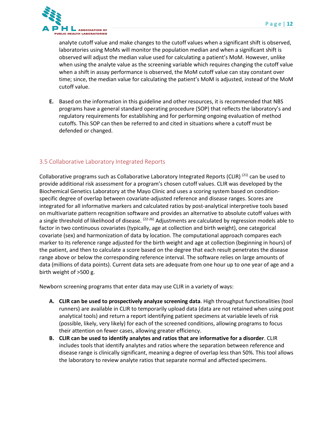

analyte cutoff value and make changes to the cutoff values when a significant shift is observed, laboratories using MoMs will monitor the population median and when a significant shift is observed will adjust the median value used for calculating a patient's MoM. However, unlike when using the analyte value as the screening variable which requires changing the cutoff value when a shift in assay performance is observed, the MoM cutoff value can stay constant over time; since, the median value for calculating the patient's MoM is adjusted, instead of the MoM cutoff value.

**E.** Based on the information in this guideline and other resources, it is recommended that NBS programs have a general standard operating procedure (SOP) that reflects the laboratory's and regulatory requirements for establishing and for performing ongoing evaluation of method cutoffs. This SOP can then be referred to and cited in situations where a cutoff must be defended or changed.

#### <span id="page-12-0"></span>3.5 Collaborative Laboratory Integrated Reports

Collaborative programs such as Collaborative Laboratory Integrated Reports (CLIR) <sup>(21)</sup> can be used to provide additional risk assessment for a program's chosen cutoff values. CLIR was developed by the Biochemical Genetics Laboratory at the Mayo Clinic and uses a scoring system based on conditionspecific degree of overlap between covariate-adjusted reference and disease ranges. Scores are integrated for all informative markers and calculated ratios by post-analytical interpretive tools based on multivariate pattern recognition software and provides an alternative to absolute cutoff values with a single threshold of likelihood of disease. <sup>(22-26)</sup> Adjustments are calculated by regression models able to factor in two continuous covariates (typically, age at collection and birth weight), one categorical covariate (sex) and harmonization of data by location. The computational approach compares each marker to its reference range adjusted for the birth weight and age at collection (beginning in hours) of the patient, and then to calculate a score based on the degree that each result penetrates the disease range above or below the corresponding reference interval. The software relies on large amounts of data (millions of data points). Current data sets are adequate from one hour up to one year of age and a birth weight of >500 g.

Newborn screening programs that enter data may use CLIR in a variety of ways:

- **A. CLIR can be used to prospectively analyze screening data**. High throughput functionalities (tool runners) are available in CLIR to temporarily upload data (data are not retained when using post analytical tools) and return a report identifying patient specimens at variable levels of risk (possible, likely, very likely) for each of the screened conditions, allowing programs to focus their attention on fewer cases, allowing greater efficiency.
- **B. CLIR can be used to identify analytes and ratios that are informative for a disorder**. CLIR includes tools that identify analytes and ratios where the separation between reference and disease range is clinically significant, meaning a degree of overlap less than 50%. This tool allows the laboratory to review analyte ratios that separate normal and affected specimens.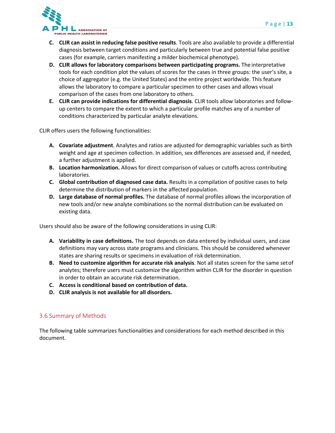

- **C. CLIR can assist in reducing false positive results**. Tools are also available to provide a differential diagnosis between target conditions and particularly between true and potential false positive cases (for example, carriers manifesting a milder biochemical phenotype).
- **D. CLIR allows for laboratory comparisons between participating programs.** The interpretative tools for each condition plot the values of scores for the cases in three groups: the user's site, a choice of aggregator (e.g. the United States) and the entire project worldwide. This feature allows the laboratory to compare a particular specimen to other cases and allows visual comparison of the cases from one laboratory to others.
- **E. CLIR can provide indications for differential diagnosis**. CLIR tools allow laboratories and followup centers to compare the extent to which a particular profile matches any of a number of conditions characterized by particular analyte elevations.

CLIR offers users the following functionalities:

- **A. Covariate adjustment**. Analytes and ratios are adjusted for demographic variables such as birth weight and age at specimen collection. In addition, sex differences are assessed and, if needed, a further adjustment is applied.
- **B. Location harmonization.** Allows for direct comparison of values or cutoffs across contributing laboratories.
- **C. Global contribution of diagnosed case data.** Results in a compilation of positive cases to help determine the distribution of markers in the affected population.
- **D. Large database of normal profiles.** The database of normal profiles allows the incorporation of new tools and/or new analyte combinations so the normal distribution can be evaluated on existing data.

Users should also be aware of the following considerations in using CLIR:

- **A. Variability in case definitions.** The tool depends on data entered by individual users, and case definitions may vary across state programs and clinicians. This should be considered whenever states are sharing results or specimens in evaluation of risk determination.
- **B. Need to customize algorithm for accurate risk analysis**. Not all states screen for the same setof analytes; therefore users must customize the algorithm within CLIR for the disorder in question in order to obtain an accurate risk determination.
- **C. Access is conditional based on contribution of data.**
- **D. CLIR analysis is not available for all disorders.**

#### <span id="page-13-0"></span>3.6 Summary of Methods

The following table summarizes functionalities and considerations for each method described in this document.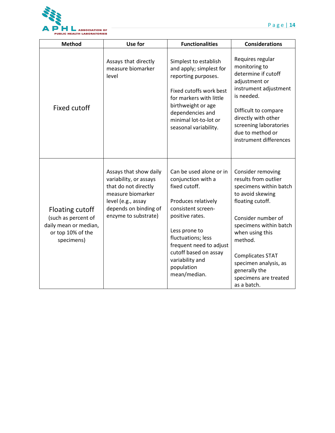

| <b>Method</b>                                                                                      | Use for                                                                                                                                                              | <b>Functionalities</b>                                                                                                                                                                                                                                                     | <b>Considerations</b>                                                                                                                                                                                                                                                                                  |
|----------------------------------------------------------------------------------------------------|----------------------------------------------------------------------------------------------------------------------------------------------------------------------|----------------------------------------------------------------------------------------------------------------------------------------------------------------------------------------------------------------------------------------------------------------------------|--------------------------------------------------------------------------------------------------------------------------------------------------------------------------------------------------------------------------------------------------------------------------------------------------------|
| <b>Fixed cutoff</b>                                                                                | Assays that directly<br>measure biomarker<br>level                                                                                                                   | Simplest to establish<br>and apply; simplest for<br>reporting purposes.<br>Fixed cutoffs work best<br>for markers with little<br>birthweight or age<br>dependencies and<br>minimal lot-to-lot or<br>seasonal variability.                                                  | Requires regular<br>monitoring to<br>determine if cutoff<br>adjustment or<br>instrument adjustment<br>is needed.<br>Difficult to compare<br>directly with other<br>screening laboratories<br>due to method or<br>instrument differences                                                                |
| Floating cutoff<br>(such as percent of<br>daily mean or median,<br>or top 10% of the<br>specimens) | Assays that show daily<br>variability, or assays<br>that do not directly<br>measure biomarker<br>level (e.g., assay<br>depends on binding of<br>enzyme to substrate) | Can be used alone or in<br>conjunction with a<br>fixed cutoff.<br>Produces relatively<br>consistent screen-<br>positive rates.<br>Less prone to<br>fluctuations; less<br>frequent need to adjust<br>cutoff based on assay<br>variability and<br>population<br>mean/median. | Consider removing<br>results from outlier<br>specimens within batch<br>to avoid skewing<br>floating cutoff.<br>Consider number of<br>specimens within batch<br>when using this<br>method.<br><b>Complicates STAT</b><br>specimen analysis, as<br>generally the<br>specimens are treated<br>as a batch. |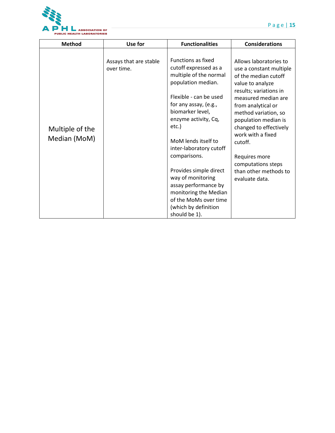

| <b>Method</b>                   | Use for                              | <b>Functionalities</b>                                                                                                                                                                                                                                                                                                                                                                                                                         | <b>Considerations</b>                                                                                                                                                                                                                                                                                                                                            |
|---------------------------------|--------------------------------------|------------------------------------------------------------------------------------------------------------------------------------------------------------------------------------------------------------------------------------------------------------------------------------------------------------------------------------------------------------------------------------------------------------------------------------------------|------------------------------------------------------------------------------------------------------------------------------------------------------------------------------------------------------------------------------------------------------------------------------------------------------------------------------------------------------------------|
| Multiple of the<br>Median (MoM) | Assays that are stable<br>over time. | <b>Functions as fixed</b><br>cutoff expressed as a<br>multiple of the normal<br>population median.<br>Flexible - can be used<br>for any assay, (e.g.,<br>biomarker level,<br>enzyme activity, Cq,<br>etc.)<br>MoM lends itself to<br>inter-laboratory cutoff<br>comparisons.<br>Provides simple direct<br>way of monitoring<br>assay performance by<br>monitoring the Median<br>of the MoMs over time<br>(which by definition<br>should be 1). | Allows laboratories to<br>use a constant multiple<br>of the median cutoff<br>value to analyze<br>results; variations in<br>measured median are<br>from analytical or<br>method variation, so<br>population median is<br>changed to effectively<br>work with a fixed<br>cutoff.<br>Requires more<br>computations steps<br>than other methods to<br>evaluate data. |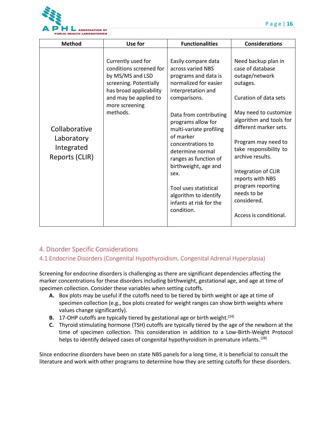

| <b>Method</b>                                               | Use for                                                                                                                                                                       | <b>Functionalities</b>                                                                                                                                                                                                                                                                                                                                                                                               | <b>Considerations</b>                                                                                                                                                                                                                                                                                                                                                     |
|-------------------------------------------------------------|-------------------------------------------------------------------------------------------------------------------------------------------------------------------------------|----------------------------------------------------------------------------------------------------------------------------------------------------------------------------------------------------------------------------------------------------------------------------------------------------------------------------------------------------------------------------------------------------------------------|---------------------------------------------------------------------------------------------------------------------------------------------------------------------------------------------------------------------------------------------------------------------------------------------------------------------------------------------------------------------------|
| Collaborative<br>Laboratory<br>Integrated<br>Reports (CLIR) | Currently used for<br>conditions screened for<br>by MS/MS and LSD<br>screening. Potentially<br>has broad applicability<br>and may be applied to<br>more screening<br>methods. | Easily compare data<br>across varied NBS<br>programs and data is<br>normalized for easier<br>interpretation and<br>comparisons.<br>Data from contributing<br>programs allow for<br>multi-variate profiling<br>of marker<br>concentrations to<br>determine normal<br>ranges as function of<br>birthweight, age and<br>sex.<br>Tool uses statistical<br>algorithm to identify<br>infants at risk for the<br>condition. | Need backup plan in<br>case of database<br>outage/network<br>outages.<br>Curation of data sets<br>May need to customize<br>algorithm and tools for<br>different marker sets.<br>Program may need to<br>take responsibility to<br>archive results.<br>Integration of CLIR<br>reports with NBS<br>program reporting<br>needs to be<br>considered.<br>Access is conditional. |

## <span id="page-16-0"></span>4. Disorder Specific Considerations

#### <span id="page-16-1"></span>4.1 Endocrine Disorders (Congenital Hypothyroidism, Congenital Adrenal Hyperplasia)

Screening for endocrine disorders is challenging as there are significant dependencies affecting the marker concentrations for these disorders including birthweight, gestational age, and age at time of specimen collection. Consider these variables when setting cutoffs.

- **A.** Box plots may be useful if the cutoffs need to be tiered by birth weight or age at time of specimen collection (e.g., box plots created for weight ranges can show birth weights where values change significantly).
- **B.** 17-OHP cutoffs are typically tiered by gestational age or birth weight.<sup>(24)</sup>
- **C.** Thyroid stimulating hormone (TSH) cutoffs are typically tiered by the age of the newborn at the time of specimen collection. This consideration in addition to a Low-Birth-Weight Protocol helps to identify delayed cases of congenital hypothyroidism in premature infants.<sup>(28)</sup>

Since endocrine disorders have been on state NBS panels for a long time, it is beneficial to consult the literature and work with other programs to determine how they are setting cutoffs for these disorders.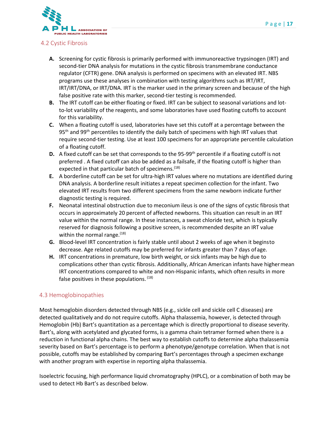

#### <span id="page-17-0"></span>4.2 Cystic Fibrosis

- **A.** Screening for cystic fibrosis is primarily performed with immunoreactive trypsinogen (IRT) and second-tier DNA analysis for mutations in the cystic fibrosis transmembrane conductance regulator (CFTR) gene. DNA analysis is performed on specimens with an elevated IRT. NBS programs use these analyses in combination with testing algorithms such as IRT/IRT, IRT/IRT/DNA, or IRT/DNA. IRT is the marker used in the primary screen and because of the high false positive rate with this marker, second-tier testing is recommended.
- **B.** The IRT cutoff can be either floating or fixed. IRT can be subject to seasonal variations and lotto-lot variability of the reagents, and some laboratories have used floating cutoffs to account for this variability.
- **C.** When a floating cutoff is used, laboratories have set this cutoff at a percentage between the 95<sup>th</sup> and 99<sup>th</sup> percentiles to identify the daily batch of specimens with high IRT values that require second-tier testing. Use at least 100 specimens for an appropriate percentile calculation of a floating cutoff.
- **D.** A fixed cutoff can be set that corresponds to the 95-99<sup>th</sup> percentile if a floating cutoff is not preferred . A fixed cutoff can also be added as a failsafe, if the floating cutoff is higher than expected in that particular batch of specimens.<sup>(18)</sup>
- **E.** A borderline cutoff can be set for ultra-high IRT values where no mutations are identified during DNA analysis. A borderline result initiates a repeat specimen collection for the infant. Two elevated IRT results from two different specimens from the same newborn indicate further diagnostic testing is required.
- **F.** Neonatal intestinal obstruction due to meconium ileus is one of the signs of cystic fibrosis that occurs in approximately 20 percent of affected newborns. This situation can result in an IRT value within the normal range. In these instances, a sweat chloride test, which is typically reserved for diagnosis following a positive screen, is recommended despite an IRT value within the normal range. $(18)$
- **G.** Blood-level IRT concentration is fairly stable until about 2 weeks of age when it beginsto decrease. Age related cutoffs may be preferred for infants greater than 7 days ofage.
- **H.** IRT concentrations in premature, low birth weight, or sick infants may be high due to complications other than cystic fibrosis. Additionally, African American infants have highermean IRT concentrations compared to white and non-Hispanic infants, which often results in more false positives in these populations. (18)

#### <span id="page-17-1"></span>4.3 Hemoglobinopathies

Most hemoglobin disorders detected through NBS (e.g., sickle cell and sickle cell C diseases) are detected qualitatively and do not require cutoffs. Alpha thalassemia, however, is detected through Hemoglobin (Hb) Bart's quantitation as a percentage which is directly proportional to disease severity. Bart's, along with acetylated and glycated forms, is a gamma chain tetramer formed when there is a reduction in functional alpha chains. The best way to establish cutoffs to determine alpha thalassemia severity based on Bart's percentage is to perform a phenotype/genotype correlation. When that is not possible, cutoffs may be established by comparing Bart's percentages through a specimen exchange with another program with expertise in reporting alpha thalassemia.

Isoelectric focusing, high performance liquid chromatography (HPLC), or a combination of both may be used to detect Hb Bart's as described below.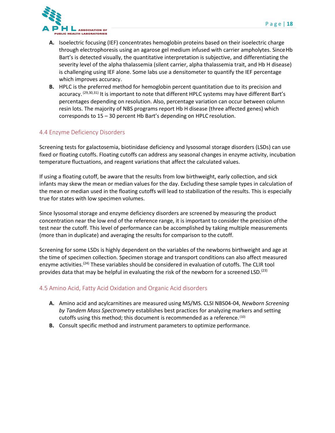

- **A.** Isoelectric focusing (IEF) concentrates hemoglobin proteins based on their isoelectric charge through electrophoresis using an agarose gel medium infused with carrier ampholytes. SinceHb Bart's is detected visually, the quantitative interpretation is subjective, and differentiating the severity level of the alpha thalassemia (silent carrier, alpha thalassemia trait, and Hb H disease) is challenging using IEF alone. Some labs use a densitometer to quantify the IEF percentage which improves accuracy.
- **B.** HPLC is the preferred method for hemoglobin percent quantitation due to its precision and accuracy. <sup>(29,30,31)</sup> It is important to note that different HPLC systems may have different Bart's percentages depending on resolution. Also, percentage variation can occur between column resin lots. The majority of NBS programs report Hb H disease (three affected genes) which corresponds to 15 – 30 percent Hb Bart's depending on HPLC resolution.

#### <span id="page-18-0"></span>4.4 Enzyme Deficiency Disorders

Screening tests for galactosemia, biotinidase deficiency and lysosomal storage disorders (LSDs) can use fixed or floating cutoffs. Floating cutoffs can address any seasonal changes in enzyme activity, incubation temperature fluctuations, and reagent variations that affect the calculated values.

If using a floating cutoff, be aware that the results from low birthweight, early collection, and sick infants may skew the mean or median values for the day. Excluding these sample types in calculation of the mean or median used in the floating cutoffs will lead to stabilization of the results. This is especially true for states with low specimen volumes.

Since lysosomal storage and enzyme deficiency disorders are screened by measuring the product concentration near the low end of the reference range, it is important to consider the precision ofthe test near the cutoff. This level of performance can be accomplished by taking multiple measurements (more than in duplicate) and averaging the results for comparison to the cutoff.

Screening for some LSDs is highly dependent on the variables of the newborns birthweight and age at the time of specimen collection. Specimen storage and transport conditions can also affect measured enzyme activities.<sup>(24)</sup> These variables should be considered in evaluation of cutoffs. The CLIR tool provides data that may be helpful in evaluating the risk of the newborn for a screened LSD.<sup>(23)</sup>

#### <span id="page-18-1"></span>4.5 Amino Acid, Fatty Acid Oxidation and Organic Acid disorders

- **A.** Amino acid and acylcarnitines are measured using MS/MS. CLSI NBS04-04, *Newborn Screening by Tandem Mass Spectrometry* establishes best practices for analyzing markers and setting cutoffs using this method; this document is recommended as a reference.<sup>(10)</sup>
- **B.** Consult specific method and instrument parameters to optimize performance.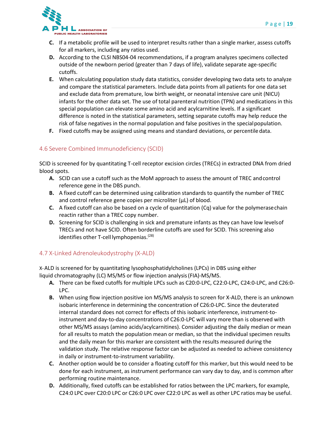

- **C.** If a metabolic profile will be used to interpret results rather than a single marker, assess cutoffs for all markers, including any ratios used.
- **D.** According to the CLSI NBS04-04 recommendations, if a program analyzes specimens collected outside of the newborn period (greater than 7 days of life), validate separate age-specific cutoffs.
- **E.** When calculating population study data statistics, consider developing two data sets to analyze and compare the statistical parameters. Include data points from all patients for one data set and exclude data from premature, low birth weight, or neonatal intensive care unit (NICU) infants for the other data set. The use of total parenteral nutrition (TPN) and medications in this special population can elevate some amino acid and acylcarnitine levels. If a significant difference is noted in the statistical parameters, setting separate cutoffs may help reduce the risk of false negatives in the normal population and false positives in the special population.
- **F.** Fixed cutoffs may be assigned using means and standard deviations, or percentile data.

## <span id="page-19-0"></span>4.6 Severe Combined Immunodeficiency (SCID)

SCID is screened for by quantitating T-cell receptor excision circles (TRECs) in extracted DNA from dried blood spots.

- **A.** SCID can use a cutoff such as the MoM approach to assess the amount of TREC andcontrol reference gene in the DBS punch.
- **B.** A fixed cutoff can be determined using calibration standards to quantify the number of TREC and control reference gene copies per microliter ( $\mu$ L) of blood.
- **C.** A fixed cutoff can also be based on a cycle of quantitation (Cq) value for the polymerasechain reactin rather than a TREC copy number.
- **D.** Screening for SCID is challenging in sick and premature infants as they can have low levelsof TRECs and not have SCID. Often borderline cutoffs are used for SCID. This screening also identifies other T-cell lymphopenias.<sup>(28)</sup>

#### <span id="page-19-1"></span>4.7 X-Linked Adrenoleukodystrophy (X-ALD)

X-ALD is screened for by quantitating lysophosphatidylcholines (LPCs) in DBS using either liquid chromatography (LC) MS/MS or flow injection analysis(FIA)-MS/MS.

- **A.** There can be fixed cutoffs for multiple LPCs such as C20:0-LPC, C22:0-LPC, C24:0-LPC, and C26:0- LPC.
- **B.** When using flow injection positive ion MS/MS analysis to screen for X-ALD, there is an unknown isobaric interference in determining the concentration of C26:0-LPC. Since the deuterated internal standard does not correct for effects of this isobaric interference, instrument-toinstrument and day-to-day concentrations of C26:0-LPC will vary more than is observed with other MS/MS assays (amino acids/acylcarnitines). Consider adjusting the daily median or mean for all results to match the population mean or median, so that the individual specimen results and the daily mean for this marker are consistent with the results measured during the validation study. The relative response factor can be adjusted as needed to achieve consistency in daily or instrument-to-instrument variability.
- **C.** Another option would be to consider a floating cutoff for this marker, but this would need to be done for each instrument, as instrument performance can vary day to day, and is common after performing routine maintenance.
- **D.** Additionally, fixed cutoffs can be established for ratios between the LPC markers, for example, C24:0 LPC over C20:0 LPC or C26:0 LPC over C22:0 LPC as well as other LPC ratios may be useful.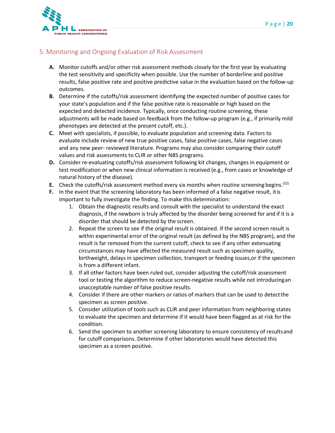

### <span id="page-20-0"></span>5. Monitoring and Ongoing Evaluation of Risk Assessment

- **A.** Monitor cutoffs and/or other risk assessment methods closely for the first year by evaluating the test sensitivity and specificity when possible. Use the number of borderline and positive results, false positive rate and positive predictive value in the evaluation based on the follow-up outcomes.
- **B.** Determine if the cutoffs/risk assessment identifying the expected number of positive cases for your state's population and if the false positive rate is reasonable or high based on the expected and detected incidence. Typically, once conducting routine screening, these adjustments will be made based on feedback from the follow-up program (e.g., if primarily mild phenotypes are detected at the present cutoff, etc.).
- **C.** Meet with specialists, if possible, to evaluate population and screening data. Factors to evaluate include review of new true positive cases, false positive cases, false negative cases and any new peer- reviewed literature. Programs may also consider comparing their cutoff values and risk assessments to CLIR or other NBS programs.
- **D.** Consider re-evaluating cutoffs/risk assessment following kit changes, changes in equipment or test modification or when new clinical information is received (e.g., from cases or knowledge of natural history of the disease).
- **E.** Check the cutoffs/risk assessment method every six months when routine screening begins.<sup>(32)</sup>
- **F.** In the event that the screening laboratory has been informed of a false negative result, itis important to fully investigate the finding. To make this determination:
	- 1. Obtain the diagnostic results and consult with the specialist to understand the exact diagnosis, if the newborn is truly affected by the disorder being screened for and if it is a disorder that should be detected by the screen.
	- 2. Repeat the screen to see if the original result is obtained. If the second screen result is within experimental error of the original result (as defined by the NBS program), and the result is far removed from the current cutoff, check to see if any other extenuating circumstances may have affected the measured result such as specimen quality, birthweight, delays in specimen collection, transport or feeding issues,or if the specimen is from a different infant.
	- 3. If all other factors have been ruled out, consider adjusting the cutoff/risk assessment tool or testing the algorithm to reduce screen-negative results while not introducingan unacceptable number of false positive results.
	- 4. Consider if there are other markers or ratios of markers that can be used to detectthe specimen as screen positive.
	- 5. Consider utilization of tools such as CLIR and peer information from neighboring states to evaluate the specimen and determine if it would have been flagged as at risk forthe condition.
	- 6. Send the specimen to another screening laboratory to ensure consistency of resultsand for cutoff comparisons. Determine if other laboratories would have detected this specimen as a screen positive.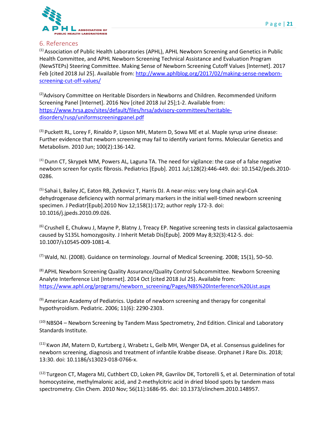

#### <span id="page-21-0"></span>6. References

(1) Association of Public Health Laboratories (APHL), APHL Newborn Screening and Genetics in Public Health Committee, and APHL Newborn Screening Technical Assistance and Evaluation Program (NewSTEPs) Steering Committee. Making Sense of Newborn Screening Cutoff Values [Internet]. 2017 Feb [cited 2018 Jul 25]. Available from: [http://www.aphlblog.org/2017/02/making-sense-newborn](http://www.aphlblog.org/2017/02/making-sense-newborn-screening-cut-off-values/)[screening-cut-off-values/](http://www.aphlblog.org/2017/02/making-sense-newborn-screening-cut-off-values/)

 $^{(2)}$ Advisory Committee on Heritable Disorders in Newborns and Children. Recommended Uniform Screening Panel [Internet]. 2016 Nov [cited 2018 Jul 25];1-2. Available from: [https://www.hrsa.gov/sites/default/files/hrsa/advisory-committees/heritable](https://www.hrsa.gov/sites/default/files/hrsa/advisory-committees/heritable-disorders/rusp/uniformscreeningpanel.pdf)[disorders/rusp/uniformscreeningpanel.pdf](https://www.hrsa.gov/sites/default/files/hrsa/advisory-committees/heritable-disorders/rusp/uniformscreeningpanel.pdf)

<sup>(3)</sup> Puckett RL, Lorey F, [Rinaldo P](http://www.sciencedirect.com/science/article/pii/S1096719209004922), Lipson MH, Matern D, Sowa ME et al. Maple syrup urine disease: Further evidence that newborn screening may fail to identify variant forms. Molecular Genetics and Metabolism. 2010 Jun; 100(2):136-142.

 $<sup>(4)</sup>$  Dunn CT, Skrypek MM, Powers AL, Laguna TA. The need for vigilance: the case of a false negative</sup> newborn screen for cystic fibrosis. Pediatrics [Epub]. 2011 Jul;128(2):446-449. doi: 10.1542/peds.2010- 0286.

(5) Sahai I, Bailey JC, Eaton RB, Zytkovicz T, Harris DJ. A near-miss: very long chain acyl-CoA dehydrogenase deficiency with normal primary markers in the initial well-timed newborn screening specimen. J Pediatr[Epub].2010 Nov 12;158(1):172; author reply 172-3. doi: 10.1016/j.jpeds.2010.09.026.

<sup>(6)</sup> Crushell E, Chukwu J, Mayne P, Blatny J, Treacy EP. Negative screening tests in classical galactosaemia caused by S135L homozygosity. J Inherit Metab Dis[Epub]. 2009 May 8;32(3):412-5. doi: 10.1007/s10545-009-1081-4.

 $^{(7)}$  Wald, NJ. (2008). Guidance on terminology. Journal of Medical Screening. 2008; 15(1), 50–50.

<sup>(8)</sup> APHL Newborn Screening Quality Assurance/Quality Control Subcommittee. Newborn Screening Analyte Interference List [Internet]. 2014 Oct [cited 2018 Jul 25). Available from: [https://www.aphl.org/programs/newborn\\_screening/Pages/NBS%20Interference%20List.aspx](https://www.aphl.org/programs/newborn_screening/Pages/NBS%20Interference%20List.aspx)

(9) American Academy of Pediatrics. Update of newborn screening and therapy for congenital hypothyroidism. Pediatric. 2006; 11(6): 2290-2303.

(10) NBS04 – Newborn Screening by Tandem Mass Spectrometry, 2nd Edition. Clinical and Laboratory Standards Institute.

 $<sup>(11)</sup>$  Kwon JM, Matern D, Kurtzberg J, Wrabetz L, Gelb MH, Wenger DA, et al. Consensus guidelines for</sup> newborn screening, diagnosis and treatment of infantile Krabbe disease. Orphanet J Rare Dis. 2018; 13:30. doi: 10.1186/s13023-018-0766-x.

<sup>(12)</sup> Turgeon CT, Magera MJ, Cuthbert CD, Loken PR, Gavrilov DK, Tortorelli S, et al. Determination of total homocysteine, methylmalonic acid, and 2-methylcitric acid in dried blood spots by tandem mass spectrometry. Clin Chem. 2010 Nov; 56(11):1686-95. doi: 10.1373/clinchem.2010.148957.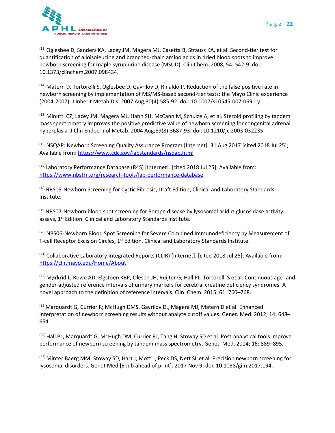

(13) Oglesbee D, Sanders KA, Lacey JM, Magera MJ, Casetta B, Strauss KA, et al. Second-tier test for quantification of alloisoleucine and branched-chain amino acids in dried blood spots to improve newborn screening for maple syrup urine disease (MSUD). Clin Chem. 2008; 54: 542-9. doi: 10.1373/clinchem.2007.098434.

 $(14)$  Matern D, Tortorelli S, Oglesbee D, Gavrilov D, Rinaldo P. Reduction of the false positive rate in newborn screening by implementation of MS/MS-based second-tier tests: the Mayo Clinic experience (2004-2007). J Inherit Metab Dis. 2007 Aug;30(4):585-92. doi: 10.1007/s10545-007-0691-y.

 $<sup>(15)</sup>$  Minutti CZ, Lacey JM, Magera MJ, Hahn SH, McCann M, Schulze A, et al. Steroid profiling by tandem</sup> mass spectrometry improves the positive predictive value of newborn screening for congenital adrenal hyperplasia. J Clin Endocrinol Metab. 2004 Aug;89(8):3687-93. doi: 10.1210/jc.2003-032235.

(16) NSQAP: Newborn Screening Quality Assurance Program [Internet]. 31 Aug 2017 [cited 2018 Jul 25]; Available from:<https://www.cdc.gov/labstandards/nsqap.html>

<sup>(17)</sup>Laboratory Performance Database (R4S) [Internet]. [cited 2018 Jul 25]; Available from: <https://www.nbstrn.org/research-tools/lab-performance-database>

(18)NBS05-Newborn Screening for Cystic Fibrosis, Draft Edition, Clinical and Laboratory Standards Institute.

 $^{(19)}$ NBS07-Newborn blood spot screening for Pompe disease by lysosomal acid  $\alpha$ -glucosidase activity assays, 1<sup>st</sup> Edition. Clinical and Laboratory Standards Institute.

(20) NBS06-Newborn Blood Spot Screening for Severe Combined Immunodeficiency by Measurement of T-cell Receptor Excision Circles, 1<sup>st</sup> Edition. Clinical and Laboratory Standards Institute.

<sup>(21)</sup> Collaborative Laboratory Integrated Reports (CLIR) [Internet]. [cited 2018 Jul 25]; Available from: <https://clir.mayo.edu/Home/About>

<sup>(22)</sup> Mørkrid L, Rowe AD, Elgstoen KBP, Olesen JH, Ruijter G, Hall PL, Tortorelli S et al. Continuous age- and gender-adjusted reference intervals of urinary markers for cerebral creatine deficiency syndromes: A novel approach to the definition of reference intervals. Clin. Chem. 2015; 61: 760–768.

<sup>(23)</sup>Marquardt G, Currier R; McHugh DMS, Gavrilov D., Magera MJ, Matern D et al. Enhanced interpretation of newborn screening results without analyte cutoff values. Genet. Med. 2012; 14: 648– 654.

 $(24)$  Hall PL, Marquardt G, McHugh DM, Currier RJ, Tang H, Stoway SD et al. Post-analytical tools improve performance of newborn screening by tandem mass spectrometry. Genet. Med. 2014; 16: 889–895.

<sup>(25)</sup> Minter Baerg MM, Stoway SD, Hart J, Mott L, Peck DS, Nett SL et al. Precision newborn screening for lysosomal disorders. Genet Med [Epub ahead of print]. 2017 Nov 9. doi: 10.1038/gim.2017.194.